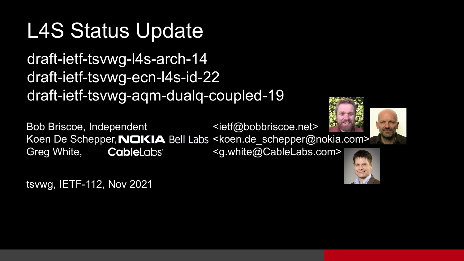### L4S Status Update

draft-ietf-tsvwg-l4s-arch-14 draft-ietf-tsvwg-ecn-l4s-id-22 draft-ietf-tsvwg-aqm-dualq-coupled-19

Bob Briscoe, Independent <ietf@bobbriscoe.net> Koen De Schepper, NOKIA Bell Labs <koen.de\_schepper@nokia.com> Greg White, **Cable**Labs<sup>\*</sup> <g.white@CableLabs.com>





tsvwg, IETF-112, Nov 2021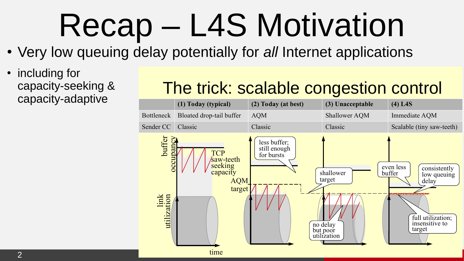# Recap – L4S Motivation

- Very low queuing delay potentially for *all* Internet applications
- including for capacity-seeking & capacity-adaptive

### The trick: scalable congestion control

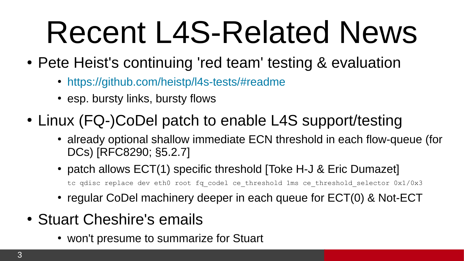# Recent L4S-Related News

- Pete Heist's continuing 'red team' testing & evaluation
	- <https://github.com/heistp/l4s-tests/#readme>
	- esp. bursty links, bursty flows
- Linux (FQ-)CoDel patch to enable L4S support/testing
	- already optional shallow immediate ECN threshold in each flow-queue (for DCs) [RFC8290; §5.2.7]
	- [patch](https://git.kernel.org/pub/scm/linux/kernel/git/netdev/net-next.git/commit/?id=dfcb63ce1de6b10b) allows  $ECT(1)$  specific threshold [Toke H-J & Eric Dumazet] tc qdisc replace dev eth0 root fq codel ce threshold 1ms ce threshold selector 0x1/0x3
	- regular CoDel machinery deeper in each queue for ECT(0) & Not-ECT
- Stuart Cheshire's emails
	- won't presume to summarize for Stuart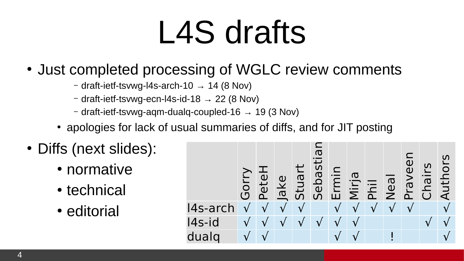## L4S drafts

- Just completed processing of WGLC review comments
	- $-$  draft-ietf-tsvwg-l4s-arch-10  $\rightarrow$  14 (8 Nov)
	- $-$  draft-ietf-tsvwg-ecn-l4s-id-18  $\rightarrow$  22 (8 Nov)
	- $-$  draft-ietf-tsvwg-aqm-dualq-coupled-16  $\rightarrow$  19 (3 Nov)
	- apologies for lack of usual summaries of diffs, and for JIT posting
- Diffs (next slides):
	- normative
	- technical
	- editorial

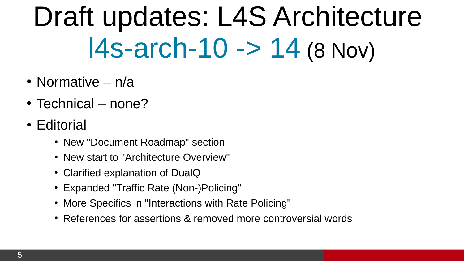## Draft updates: L4S Architecture [l4s-arch-10 -> 14](https://datatracker.ietf.org/doc/html/draft-ietf-tsvwg-l4s-arch) (8 Nov)

- Normative  $n/a$
- $\cdot$  Technical none?
- Editorial
	- New "Document Roadmap" section
	- New start to "Architecture Overview"
	- Clarified explanation of DualQ
	- Expanded "Traffic Rate (Non-)Policing"
	- More Specifics in "Interactions with Rate Policing"
	- References for assertions & removed more controversial words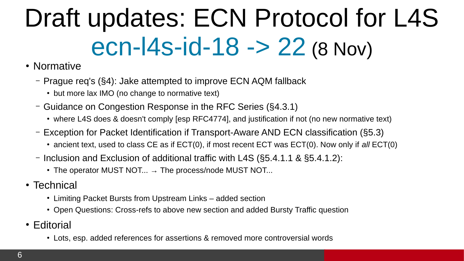## Draft updates: ECN Protocol for L4S [ecn-l4s-id-18 -> 22](https://datatracker.ietf.org/doc/html/draft-ietf-tsvwg-ecn-l4s-id) (8 Nov)

- Normative
	- Prague req's (§4): Jake attempted to improve ECN AQM fallback
		- but more lax IMO (no change to normative text)
	- Guidance on Congestion Response in the RFC Series (§4.3.1)
		- where L4S does & doesn't comply [esp RFC4774], and justification if not (no new normative text)
	- Exception for Packet Identification if Transport-Aware AND ECN classification (§5.3)
		- ancient text, used to class CE as if ECT(0), if most recent ECT was ECT(0). Now only if *all* ECT(0)
	- Inclusion and Exclusion of additional traffic with L4S (§5.4.1.1 & §5.4.1.2):
		- The operator MUST NOT...  $\rightarrow$  The process/node MUST NOT...
- Technical
	- Limiting Packet Bursts from Upstream Links added section
	- Open Questions: Cross-refs to above new section and added Bursty Traffic question
- Editorial
	- Lots, esp. added references for assertions & removed more controversial words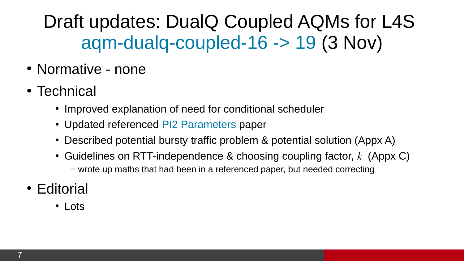Draft updates: DualQ Coupled AQMs for L4S [aqm-dualq-coupled-16 -> 19](https://datatracker.ietf.org/doc/html/draft-ietf-tsvwg-aqm-dualq-coupled) (3 Nov)

- Normative none
- Technical
	- Improved explanation of need for conditional scheduler
	- Updated referenced [PI2 Parameters](https://arxiv.org/abs/2107.01003) paper
	- Described potential bursty traffic problem & potential solution (Appx A)
	- Guidelines on RTT-independence & choosing coupling factor, *k* (Appx C) – wrote up maths that had been in a referenced paper, but needed correcting
- Editorial
	- Lots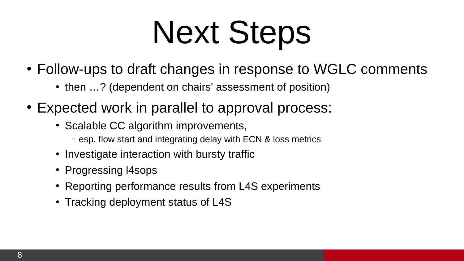# Next Steps

- Follow-ups to draft changes in response to WGLC comments
	- then ...? (dependent on chairs' assessment of position)
- Expected work in parallel to approval process:
	- Scalable CC algorithm improvements,
		- esp. flow start and integrating delay with ECN & loss metrics
	- Investigate interaction with bursty traffic
	- Progressing I4sops
	- Reporting performance results from L4S experiments
	- Tracking deployment status of L4S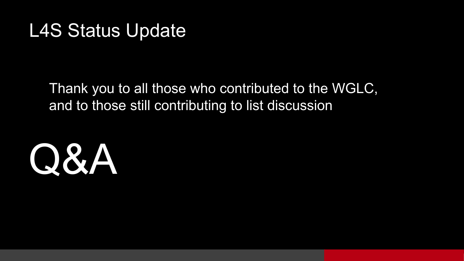#### L4S Status Update

Thank you to all those who contributed to the WGLC, and to those still contributing to list discussion